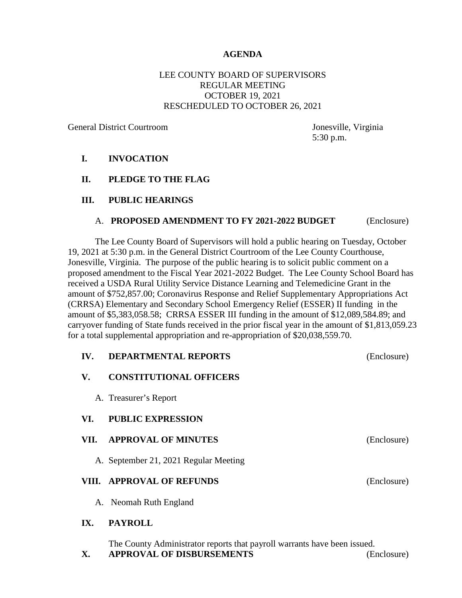#### **AGENDA**

## LEE COUNTY BOARD OF SUPERVISORS REGULAR MEETING OCTOBER 19, 2021 RESCHEDULED TO OCTOBER 26, 2021

General District Courtroom Jonesville, Virginia

5:30 p.m.

#### **I. INVOCATION**

**II. PLEDGE TO THE FLAG**

#### **III. PUBLIC HEARINGS**

#### A. **PROPOSED AMENDMENT TO FY 2021-2022 BUDGET** (Enclosure)

The Lee County Board of Supervisors will hold a public hearing on Tuesday, October 19, 2021 at 5:30 p.m. in the General District Courtroom of the Lee County Courthouse, Jonesville, Virginia. The purpose of the public hearing is to solicit public comment on a proposed amendment to the Fiscal Year 2021-2022 Budget. The Lee County School Board has received a USDA Rural Utility Service Distance Learning and Telemedicine Grant in the amount of \$752,857.00; Coronavirus Response and Relief Supplementary Appropriations Act (CRRSA) Elementary and Secondary School Emergency Relief (ESSER) II funding in the amount of \$5,383,058.58; CRRSA ESSER III funding in the amount of \$12,089,584.89; and carryover funding of State funds received in the prior fiscal year in the amount of \$1,813,059.23 for a total supplemental appropriation and re-appropriation of \$20,038,559.70.

| IV.  | <b>DEPARTMENTAL REPORTS</b>           | (Enclosure) |
|------|---------------------------------------|-------------|
| V.   | <b>CONSTITUTIONAL OFFICERS</b>        |             |
|      | A. Treasurer's Report                 |             |
| VI.  | <b>PUBLIC EXPRESSION</b>              |             |
| VII. | <b>APPROVAL OF MINUTES</b>            | (Enclosure) |
|      | A. September 21, 2021 Regular Meeting |             |
|      | VIII. APPROVAL OF REFUNDS             | (Enclosure) |
|      | A. Neomah Ruth England                |             |
| IX.  | <b>PAYROLL</b>                        |             |

The County Administrator reports that payroll warrants have been issued.

**X. APPROVAL OF DISBURSEMENTS** (Enclosure)